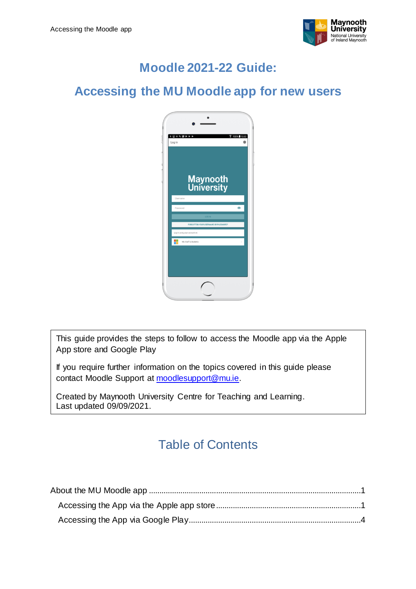

# **Moodle 2021-22 Guide:**

#### **Accessing the MU Moodle app for new users**



This guide provides the steps to follow to access the Moodle app via the Apple App store and Google Play

If you require further information on the topics covered in this guide please contact Moodle Support at [moodlesupport@mu.ie.](mailto:moodlesupport@mu.ie)

Created by Maynooth University Centre for Teaching and Learning. Last updated 09/09/2021.

## Table of Contents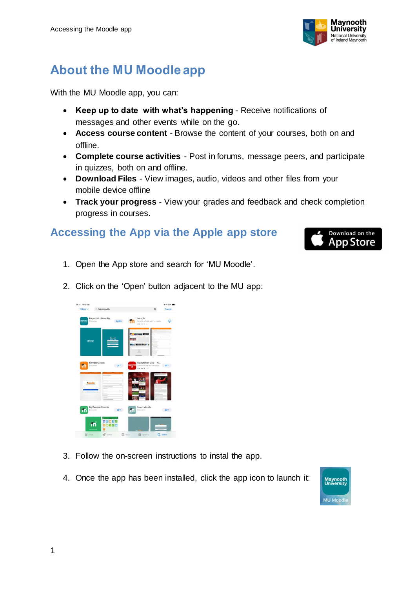

# <span id="page-1-0"></span>**About the MU Moodle app**

With the MU Moodle app, you can:

- **Keep up to date with what's happening** Receive notifications of messages and other events while on the go.
- **Access course content** Browse the content of your courses, both on and offline.
- **Complete course activities** Post in forums, message peers, and participate in quizzes, both on and offline.
- **Download Files** View images, audio, videos and other files from your mobile device offline
- **Track your progress** View your grades and feedback and check completion progress in courses.

#### <span id="page-1-1"></span>**Accessing the App via the Apple app store**



- 1. Open the App store and search for 'MU Moodle'.
- 2. Click on the 'Open' button adjacent to the MU app:



- 3. Follow the on-screen instructions to instal the app.
- 4. Once the app has been installed, click the app icon to launch it:

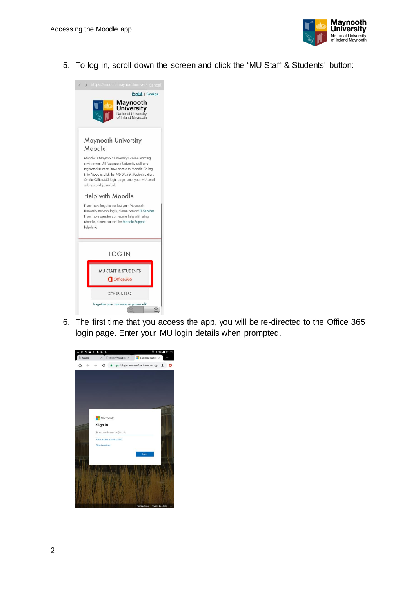

5. To log in, scroll down the screen and click the 'MU Staff & Students' button:



6. The first time that you access the app, you will be re-directed to the Office 365 login page. Enter your MU login details when prompted.

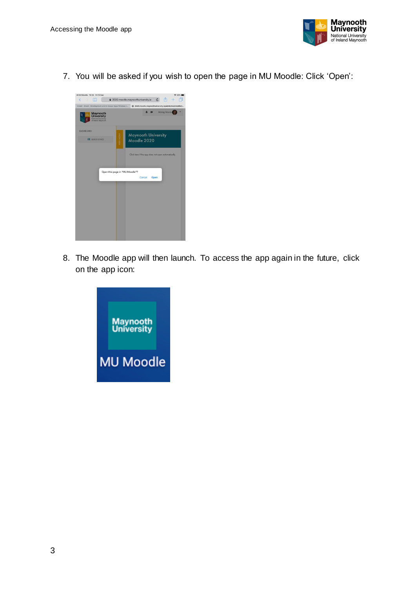

7. You will be asked if you wish to open the page in MU Moodle: Click 'Open':



8. The Moodle app will then launch. To access the app again in the future, click on the app icon:

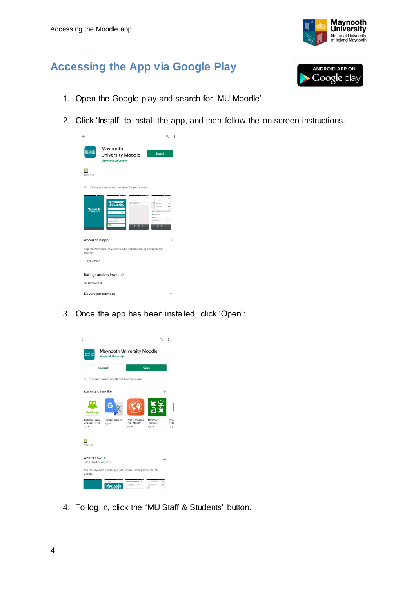

#### <span id="page-4-0"></span>**Accessing the App via Google Play**



- 1. Open the Google play and search for 'MU Moodle'.
- 2. Click 'Install' to install the app, and then follow the on-screen instructions.

| $\leftarrow$                                                                                                                                                                                                   | Q<br>÷                                                                                                                                                             |
|----------------------------------------------------------------------------------------------------------------------------------------------------------------------------------------------------------------|--------------------------------------------------------------------------------------------------------------------------------------------------------------------|
| Maynooth<br>Maynooth<br>University<br><b>University Moodle</b><br><b>Maynooth University</b>                                                                                                                   | <b>Install</b>                                                                                                                                                     |
| PEGI 3 @                                                                                                                                                                                                       |                                                                                                                                                                    |
| 0<br>This app may not be optimised for your device                                                                                                                                                             |                                                                                                                                                                    |
| $-$<br><b>THE R. P. LEWIS</b><br>--<br>$\leftarrow$ Login<br>٠<br>Mayrooth University Mood Q. 1<br>Stehnte<br><b>Maynooth</b><br>University<br>٠<br>Assistance courses<br><b>Maynooth</b><br><b>University</b> | <b>THEFT</b><br>÷.<br>$\Box$<br><b>They download a</b><br>ó<br>d.<br>Countries of<br>$\theta$<br><br>۵<br>$\overline{a}$<br>ö<br>TEST Parker<br>o<br>$\rightarrow$ |
| About this app<br>App for Maynooth University's (MU) virtual learning environment,<br>Moodle.                                                                                                                  |                                                                                                                                                                    |
| Education                                                                                                                                                                                                      |                                                                                                                                                                    |
| Ratings and reviews<br>$\odot$<br>No reviews yet                                                                                                                                                               |                                                                                                                                                                    |
| Developer contact                                                                                                                                                                                              |                                                                                                                                                                    |

3. Once the app has been installed, click 'Open':

|                                              | Uninstall                                     |                                             | Open                               |                      |
|----------------------------------------------|-----------------------------------------------|---------------------------------------------|------------------------------------|----------------------|
| 0<br>You might also like                     | This app may not be optimised for your device |                                             |                                    | →                    |
| ٠<br>duolingo                                | ¢                                             |                                             |                                    |                      |
| Duolingo: Learn<br>Languages Free<br>$4.7 *$ | Google Translate<br>$4.5 *$                   | Learn languages<br>Free - Mondly<br>$4.6 *$ | Microsoft<br>Translator<br>$4.6 *$ | Khan<br>Free<br>4.5: |
| PEGI3 ©                                      |                                               |                                             |                                    |                      |
| What's new<br>Last updated 27 Aug 2019       |                                               |                                             |                                    | →                    |

4. To log in, click the 'MU Staff & Students' button.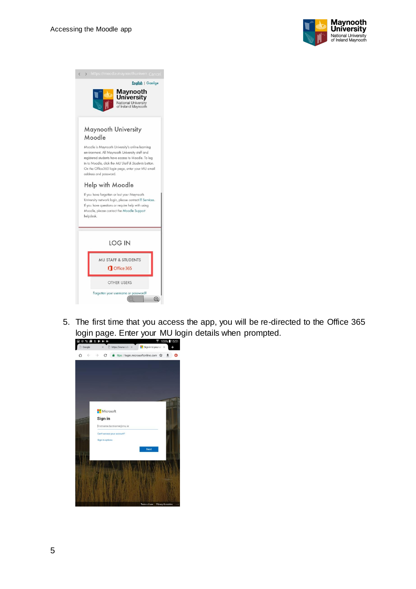

| English   Gaeilge<br>Maynooth<br><b>University</b><br>National University<br>of Ireland Maynooth                                                                                                                                                                                           |
|--------------------------------------------------------------------------------------------------------------------------------------------------------------------------------------------------------------------------------------------------------------------------------------------|
| Maynooth University<br>Moodle                                                                                                                                                                                                                                                              |
| Moodle is Maynooth University's online learning<br>environment. All Maynooth University staff and<br>registered students have access to Moodle. To log<br>in to Moodle, click the MU Staff & Students button.<br>On the Office365 login page, enter your MU email<br>address and password. |
| Help with Moodle<br>If you have forgotten or lost your Maynooth<br>University network login, please contact IT Services.<br>If you have questions or require help with using<br>Moodle, please contact the Moodle Support<br>helpdesk.                                                     |
| LOG IN                                                                                                                                                                                                                                                                                     |
| <b>MU STAFF &amp; STUDENTS</b>                                                                                                                                                                                                                                                             |
| Office 365                                                                                                                                                                                                                                                                                 |
| <b>OTHER USERS</b>                                                                                                                                                                                                                                                                         |

5. The first time that you access the app, you will be re-directed to the Office 365 login page. Enter your MU login details when prompted.